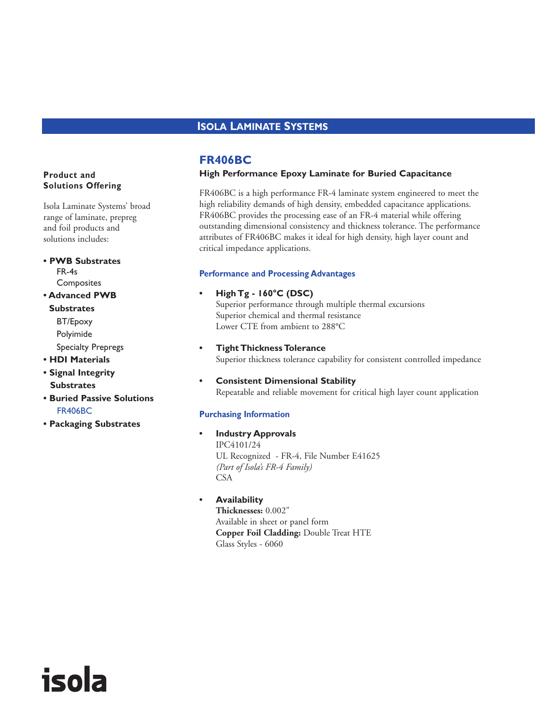# **ISOLA LAMINATE SYSTEMS**

# **FR406BC**

## **High Performance Epoxy Laminate for Buried Capacitance**

FR406BC is a high performance FR-4 laminate system engineered to meet the high reliability demands of high density, embedded capacitance applications. FR406BC provides the processing ease of an FR-4 material while offering outstanding dimensional consistency and thickness tolerance. The performance attributes of FR406BC makes it ideal for high density, high layer count and critical impedance applications.

#### **Performance and Processing Advantages**

#### **• High Tg - 160°C (DSC)**

Superior performance through multiple thermal excursions Superior chemical and thermal resistance Lower CTE from ambient to 288°C

- **Tight Thickness Tolerance** Superior thickness tolerance capability for consistent controlled impedance
- **Consistent Dimensional Stability** Repeatable and reliable movement for critical high layer count application

#### **Purchasing Information**

- **Industry Approvals** IPC4101/24 UL Recognized - FR-4, File Number E41625 *(Part of Isola's FR-4 Family)* CSA
	- **Availability Thicknesses:** 0.002" Available in sheet or panel form **Copper Foil Cladding:** Double Treat HTE Glass Styles - 6060

## **Product and Solutions Offering**

Isola Laminate Systems' broad range of laminate, prepreg and foil products and solutions includes:

**• PWB Substrates** FR-4s **Composites** 

## **• Advanced PWB**

**Substrates** BT/Epoxy Polyimide Specialty Prepregs

- **HDI Materials**
- **Signal Integrity Substrates**

isola

- **Buried Passive Solutions** FR406BC
- **Packaging Substrates**